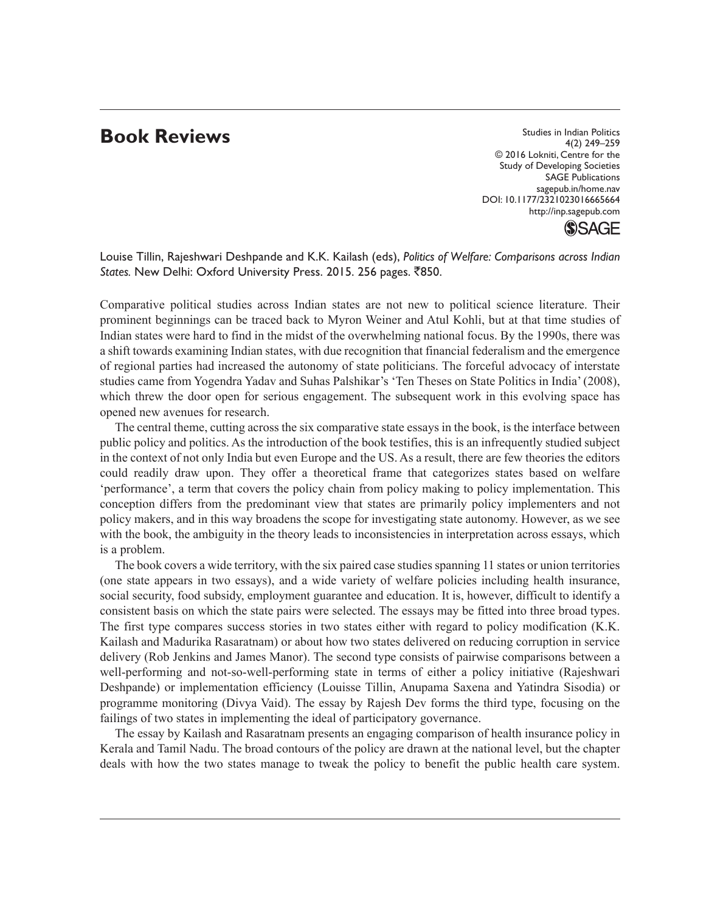## **Book Reviews**

Studies in Indian Politics 4(2) 249–259 © 2016 Lokniti, Centre for the Study of Developing Societies SAGE Publications sagepub.in/home.nav DOI: 10.1177/2321023016665664 http://inp.sagepub.com



Louise Tillin, Rajeshwari Deshpande and K.K. Kailash (eds), *Politics of Welfare: Comparisons across Indian*  States. New Delhi: Oxford University Press. 2015. 256 pages. ₹850.

Comparative political studies across Indian states are not new to political science literature. Their prominent beginnings can be traced back to Myron Weiner and Atul Kohli, but at that time studies of Indian states were hard to find in the midst of the overwhelming national focus. By the 1990s, there was a shift towards examining Indian states, with due recognition that financial federalism and the emergence of regional parties had increased the autonomy of state politicians. The forceful advocacy of interstate studies came from Yogendra Yadav and Suhas Palshikar's 'Ten Theses on State Politics in India' (2008), which threw the door open for serious engagement. The subsequent work in this evolving space has opened new avenues for research.

The central theme, cutting across the six comparative state essays in the book, is the interface between public policy and politics. As the introduction of the book testifies, this is an infrequently studied subject in the context of not only India but even Europe and the US. As a result, there are few theories the editors could readily draw upon. They offer a theoretical frame that categorizes states based on welfare 'performance', a term that covers the policy chain from policy making to policy implementation. This conception differs from the predominant view that states are primarily policy implementers and not policy makers, and in this way broadens the scope for investigating state autonomy. However, as we see with the book, the ambiguity in the theory leads to inconsistencies in interpretation across essays, which is a problem.

The book covers a wide territory, with the six paired case studies spanning 11 states or union territories (one state appears in two essays), and a wide variety of welfare policies including health insurance, social security, food subsidy, employment guarantee and education. It is, however, difficult to identify a consistent basis on which the state pairs were selected. The essays may be fitted into three broad types. The first type compares success stories in two states either with regard to policy modification (K.K. Kailash and Madurika Rasaratnam) or about how two states delivered on reducing corruption in service delivery (Rob Jenkins and James Manor). The second type consists of pairwise comparisons between a well-performing and not-so-well-performing state in terms of either a policy initiative (Rajeshwari Deshpande) or implementation efficiency (Louisse Tillin, Anupama Saxena and Yatindra Sisodia) or programme monitoring (Divya Vaid). The essay by Rajesh Dev forms the third type, focusing on the failings of two states in implementing the ideal of participatory governance.

The essay by Kailash and Rasaratnam presents an engaging comparison of health insurance policy in Kerala and Tamil Nadu. The broad contours of the policy are drawn at the national level, but the chapter deals with how the two states manage to tweak the policy to benefit the public health care system.